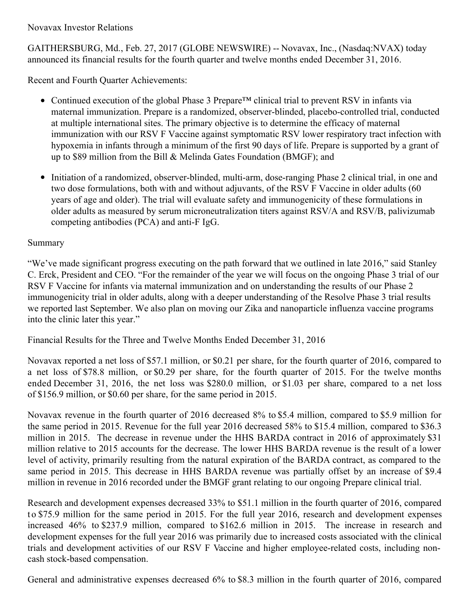Novavax Investor Relations

GAITHERSBURG, Md., Feb. 27, 2017 (GLOBE NEWSWIRE) -- Novavax, Inc., (Nasdaq:NVAX) today announced its financial results for the fourth quarter and twelve months ended December 31, 2016.

Recent and Fourth Quarter Achievements:

- Continued execution of the global Phase 3 Prepare™ clinical trial to prevent RSV in infants via maternal immunization. Prepare is a randomized, observer-blinded, placebo-controlled trial, conducted at multiple international sites. The primary objective is to determine the efficacy of maternal immunization with our RSV F Vaccine against symptomatic RSV lower respiratory tract infection with hypoxemia in infants through a minimum of the first 90 days of life. Prepare is supported by a grant of up to \$89 million from the Bill & Melinda Gates Foundation (BMGF); and
- Initiation of a randomized, observer-blinded, multi-arm, dose-ranging Phase 2 clinical trial, in one and two dose formulations, both with and without adjuvants, of the RSV F Vaccine in older adults (60 years of age and older). The trial will evaluate safety and immunogenicity of these formulations in older adults as measured by serum microneutralization titers against RSV/A and RSV/B, palivizumab competing antibodies (PCA) and anti-F IgG.

### Summary

"We've made significant progress executing on the path forward that we outlined in late 2016," said Stanley C. Erck, President and CEO. "For the remainder of the year we will focus on the ongoing Phase 3 trial of our RSV F Vaccine for infants via maternal immunization and on understanding the results of our Phase 2 immunogenicity trial in older adults, along with a deeper understanding of the Resolve Phase 3 trial results we reported last September. We also plan on moving our Zika and nanoparticle influenza vaccine programs into the clinic later this year."

Financial Results for the Three and Twelve Months Ended December 31, 2016

Novavax reported a net loss of \$57.1 million, or \$0.21 per share, for the fourth quarter of 2016, compared to a net loss of \$78.8 million, or \$0.29 per share, for the fourth quarter of 2015. For the twelve months ended December 31, 2016, the net loss was \$280.0 million, or \$1.03 per share, compared to a net loss of \$156.9 million, or \$0.60 per share, for the same period in 2015.

Novavax revenue in the fourth quarter of 2016 decreased 8% to \$5.4 million, compared to \$5.9 million for the same period in 2015. Revenue for the full year 2016 decreased 58% to \$15.4 million, compared to \$36.3 million in 2015. The decrease in revenue under the HHS BARDA contract in 2016 of approximately \$31 million relative to 2015 accounts for the decrease. The lower HHS BARDA revenue is the result of a lower level of activity, primarily resulting from the natural expiration of the BARDA contract, as compared to the same period in 2015. This decrease in HHS BARDA revenue was partially offset by an increase of \$9.4 million in revenue in 2016 recorded under the BMGF grant relating to our ongoing Prepare clinical trial.

Research and development expenses decreased 33% to \$51.1 million in the fourth quarter of 2016, compared t o \$75.9 million for the same period in 2015. For the full year 2016, research and development expenses increased 46% to \$237.9 million, compared to \$162.6 million in 2015. The increase in research and development expenses for the full year 2016 was primarily due to increased costs associated with the clinical trials and development activities of our RSV F Vaccine and higher employee-related costs, including noncash stock-based compensation.

General and administrative expenses decreased 6% to \$8.3 million in the fourth quarter of 2016, compared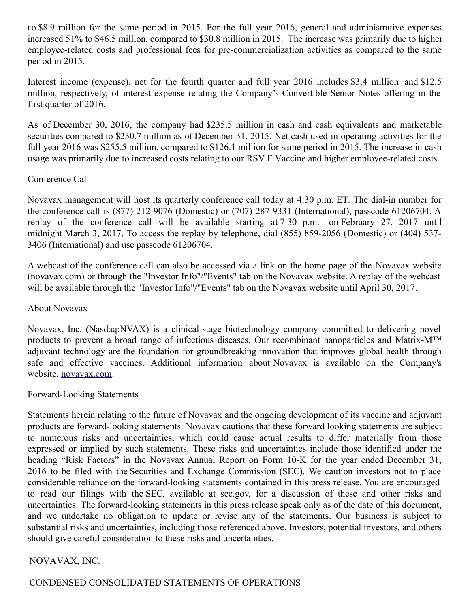t o \$8.9 million for the same period in 2015. For the full year 2016, general and administrative expenses increased 51% to \$46.5 million, compared to \$30.8 million in 2015. The increase was primarily due to higher employee-related costs and professional fees for pre-commercialization activities as compared to the same period in 2015.

Interest income (expense), net for the fourth quarter and full year 2016 includes \$3.4 million and \$12.5 million, respectively, of interest expense relating the Company's Convertible Senior Notes offering in the first quarter of 2016.

As of December 30, 2016, the company had \$235.5 million in cash and cash equivalents and marketable securities compared to \$230.7 million as of December 31, 2015. Net cash used in operating activities for the full year 2016 was \$255.5 million, compared to \$126.1 million for same period in 2015. The increase in cash usage was primarily due to increased costs relating to our RSV F Vaccine and higher employee-related costs.

#### Conference Call

Novavax management will host its quarterly conference call today at 4:30 p.m. ET. The dial-in number for the conference call is (877) 212-9076 (Domestic) or (707) 287-9331 (International), passcode 61206704. A replay of the conference call will be available starting at 7:30 p.m. on February 27, 2017 until midnight March 3, 2017. To access the replay by telephone, dial (855) 859-2056 (Domestic) or (404) 537- 3406 (International) and use passcode 61206704.

A webcast of the conference call can also be accessed via a link on the home page of the Novavax website (novavax.com) or through the "Investor Info"/"Events" tab on the Novavax website. A replay of the webcast will be available through the "Investor Info"/"Events" tab on the Novavax website until April 30, 2017.

#### About Novavax

Novavax, Inc. (Nasdaq:NVAX) is a clinical-stage biotechnology company committed to delivering novel products to prevent a broad range of infectious diseases. Our recombinant nanoparticles and Matrix-M™ adjuvant technology are the foundation for groundbreaking innovation that improves global health through safe and effective vaccines. Additional information about Novavax is available on the Company's website, [novavax.com](https://www.globenewswire.com/Tracker?data=mjB3UPdDMXmAWc0g2yKiWGyVWpyAOvgJ9Q0SVqQg4HZ3E2UxeHNUekXaJRDTC10By3vUEO1c_FWkjhC7Zr-wMA==).

#### Forward-Looking Statements

Statements herein relating to the future of Novavax and the ongoing development of its vaccine and adjuvant products are forward-looking statements. Novavax cautions that these forward looking statements are subject to numerous risks and uncertainties, which could cause actual results to differ materially from those expressed or implied by such statements. These risks and uncertainties include those identified under the heading "Risk Factors" in the Novavax Annual Report on Form 10-K for the year ended December 31, 2016 to be filed with the Securities and Exchange Commission (SEC). We caution investors not to place considerable reliance on the forward-looking statements contained in this press release. You are encouraged to read our filings with the SEC, available at sec.gov, for a discussion of these and other risks and uncertainties. The forward-looking statements in this press release speak only as of the date of this document, and we undertake no obligation to update or revise any of the statements. Our business is subject to substantial risks and uncertainties, including those referenced above. Investors, potential investors, and others should give careful consideration to these risks and uncertainties.

## NOVAVAX, INC.

## CONDENSED CONSOLIDATED STATEMENTS OF OPERATIONS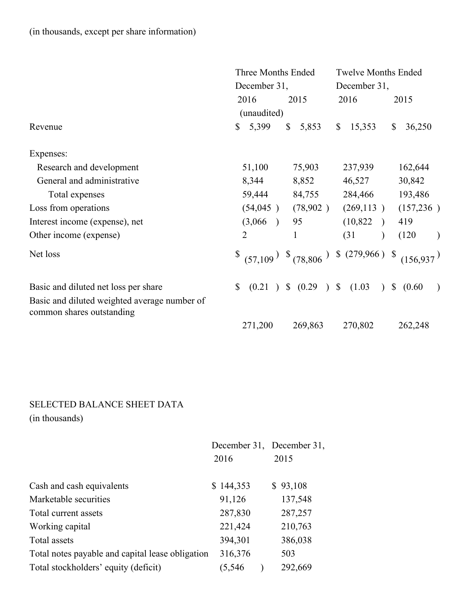CONDENSED CONSOLIDATED STATEMENTS OF OPERATIONS (in thousands, except per share information)

|                                                                           | Three Months Ended<br>December 31, |                       | <b>Twelve Months Ended</b><br>December 31, |                        |
|---------------------------------------------------------------------------|------------------------------------|-----------------------|--------------------------------------------|------------------------|
|                                                                           |                                    |                       |                                            |                        |
|                                                                           | 2016                               | 2015                  | 2016                                       | 2015                   |
|                                                                           | (unaudited)                        |                       |                                            |                        |
| Revenue                                                                   | 5,399<br>$\mathbb{S}$              | $\mathbb{S}$<br>5,853 | 15,353<br>$\mathbb{S}$                     | 36,250<br>\$           |
| Expenses:                                                                 |                                    |                       |                                            |                        |
| Research and development                                                  | 51,100                             | 75,903                | 237,939                                    | 162,644                |
| General and administrative                                                | 8,344                              | 8,852                 | 46,527                                     | 30,842                 |
| Total expenses                                                            | 59,444                             | 84,755                | 284,466                                    | 193,486                |
| Loss from operations                                                      | (54, 045)                          | (78,902)              | (269, 113)                                 | (157, 236)             |
| Interest income (expense), net                                            | (3,066)                            | 95                    | (10, 822)<br>$\rightarrow$                 | 419                    |
| Other income (expense)                                                    | 2                                  | $\mathbf{1}$          | (31)<br>$\lambda$                          | (120)<br>$\mathcal{L}$ |
| Net loss                                                                  |                                    |                       |                                            | (156.937)              |
| Basic and diluted net loss per share                                      | $\mathbb{S}$<br>(0.21)             | \$ (0.29) \$ (1.03)   | $\mathcal{L}$                              | \$ (0.60)<br>$\lambda$ |
| Basic and diluted weighted average number of<br>common shares outstanding |                                    |                       |                                            |                        |
|                                                                           | 271,200                            | 269,863               | 270,802                                    | 262,248                |

# SELECTED BALANCE SHEET DATA

(in thousands)

|                                                  |           | December 31, December 31, |  |
|--------------------------------------------------|-----------|---------------------------|--|
|                                                  | 2016      | 2015                      |  |
| Cash and cash equivalents                        | \$144,353 | \$93,108                  |  |
| Marketable securities                            | 91,126    | 137,548                   |  |
| Total current assets                             | 287,830   | 287,257                   |  |
| Working capital                                  | 221,424   | 210,763                   |  |
| Total assets                                     | 394,301   | 386,038                   |  |
| Total notes payable and capital lease obligation | 316,376   | 503                       |  |
| Total stockholders' equity (deficit)             | (5,546    | 292,669                   |  |